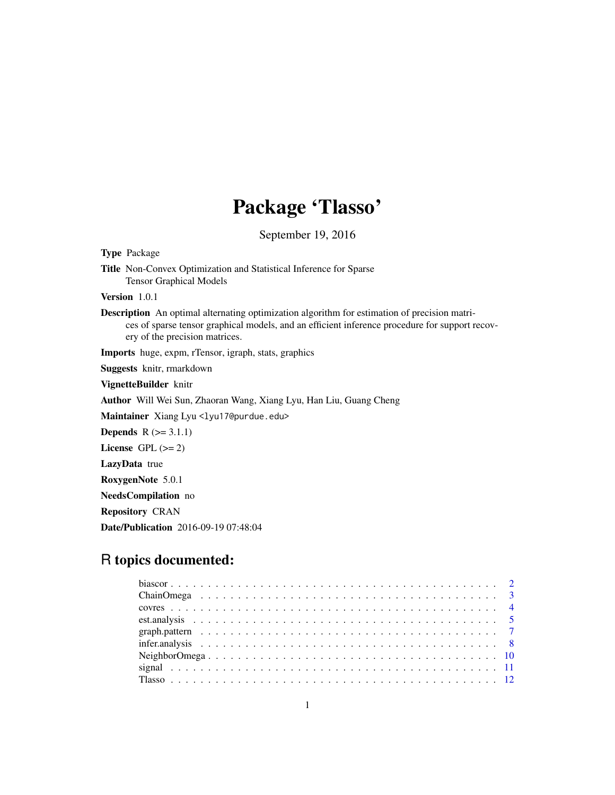# Package 'Tlasso'

September 19, 2016

<span id="page-0-0"></span>

| <b>Type Package</b>                                                                                                                                                                                                                     |
|-----------------------------------------------------------------------------------------------------------------------------------------------------------------------------------------------------------------------------------------|
| <b>Title</b> Non-Convex Optimization and Statistical Inference for Sparse<br><b>Tensor Graphical Models</b>                                                                                                                             |
| <b>Version</b> $1.0.1$                                                                                                                                                                                                                  |
| <b>Description</b> An optimal alternating optimization algorithm for estimation of precision matri-<br>ces of sparse tensor graphical models, and an efficient inference procedure for support recov-<br>ery of the precision matrices. |
| <b>Imports</b> huge, expm, rTensor, igraph, stats, graphics                                                                                                                                                                             |
| Suggests knitr, rmarkdown                                                                                                                                                                                                               |
| VignetteBuilder knitr                                                                                                                                                                                                                   |
| Author Will Wei Sun, Zhaoran Wang, Xiang Lyu, Han Liu, Guang Cheng                                                                                                                                                                      |
| Maintainer Xiang Lyu <lyu17@purdue.edu></lyu17@purdue.edu>                                                                                                                                                                              |
| <b>Depends</b> $R (= 3.1.1)$                                                                                                                                                                                                            |
| License GPL $(>= 2)$                                                                                                                                                                                                                    |
| LazyData true                                                                                                                                                                                                                           |
| RoxygenNote 5.0.1                                                                                                                                                                                                                       |
| <b>NeedsCompilation</b> no                                                                                                                                                                                                              |
| <b>Repository CRAN</b>                                                                                                                                                                                                                  |
| <b>Date/Publication</b> 2016-09-19 07:48:04                                                                                                                                                                                             |
|                                                                                                                                                                                                                                         |

# R topics documented: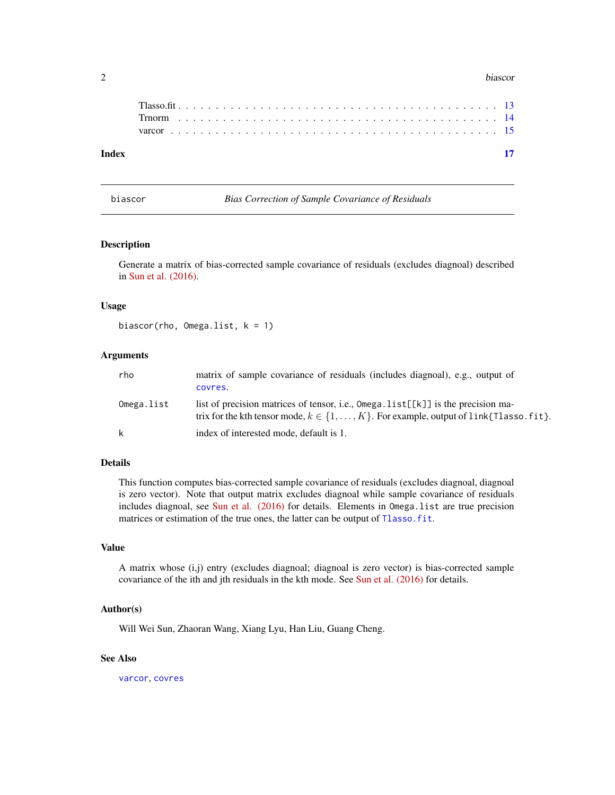#### <span id="page-1-0"></span>2 biascor biascor de la contrada de la contrada de la contrada de la contrada de la contrada de la contrada de

| - 17 |
|------|
|      |
|      |
|      |
|      |

<span id="page-1-1"></span>biascor *Bias Correction of Sample Covariance of Residuals*

# Description

Generate a matrix of bias-corrected sample covariance of residuals (excludes diagnoal) described in [Sun et al. \(2016\).](http://arxiv.org/abs/1609.04522)

# Usage

biascor(rho, Omega.list, k = 1)

# **Arguments**

| rho        | matrix of sample covariance of residuals (includes diagnoal), e.g., output of<br>covres.                                                                                          |
|------------|-----------------------------------------------------------------------------------------------------------------------------------------------------------------------------------|
| Omega.list | list of precision matrices of tensor, i.e., Omega. list[[k]] is the precision ma-<br>trix for the kth tensor mode, $k \in \{1, , K\}$ . For example, output of link{Tlasso. fit}. |
| k          | index of interested mode, default is 1.                                                                                                                                           |

# Details

This function computes bias-corrected sample covariance of residuals (excludes diagnoal, diagnoal is zero vector). Note that output matrix excludes diagnoal while sample covariance of residuals includes diagnoal, see [Sun et al. \(2016\)](http://arxiv.org/abs/1609.04522) for details. Elements in Omega.list are true precision matrices or estimation of the true ones, the latter can be output of [Tlasso.fit](#page-12-1).

#### Value

A matrix whose (i,j) entry (excludes diagnoal; diagnoal is zero vector) is bias-corrected sample covariance of the ith and jth residuals in the kth mode. See [Sun et al. \(2016\)](http://arxiv.org/abs/1609.04522) for details.

# Author(s)

Will Wei Sun, Zhaoran Wang, Xiang Lyu, Han Liu, Guang Cheng.

# See Also

[varcor](#page-14-1), [covres](#page-3-1)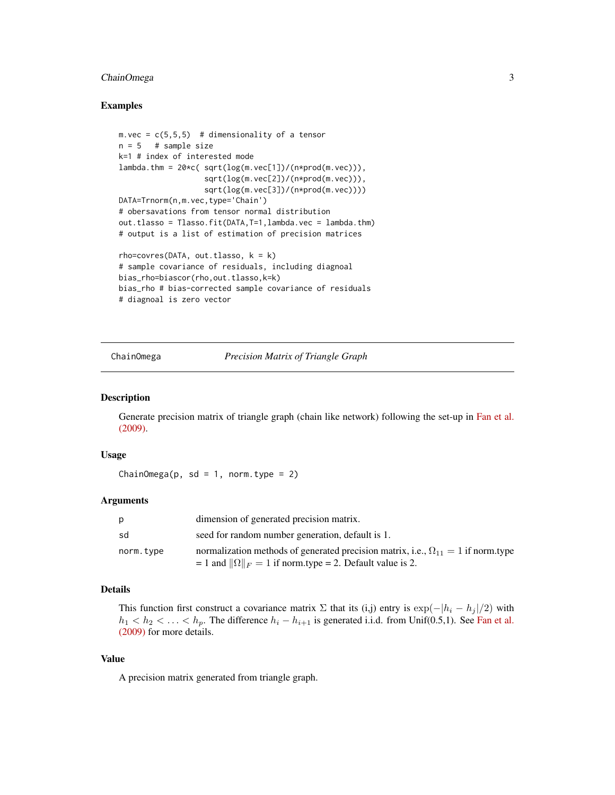# <span id="page-2-0"></span>ChainOmega 3

### Examples

```
m. vec = c(5,5,5) # dimensionality of a tensor
n = 5 # sample size
k=1 # index of interested mode
lambda.thm = 20*c( sqrt(log(m.vec[1])/(n*prod(m.vec))),
                   sqrt(log(m.vec[2])/(n*prod(m.vec))),
                   sqrt(log(m.vec[3])/(n*prod(m.vec))))
DATA=Trnorm(n,m.vec,type='Chain')
# obersavations from tensor normal distribution
out.tlasso = Tlasso.fit(DATA,T=1,lambda.vec = lambda.thm)
# output is a list of estimation of precision matrices
rho=covres(DATA, out.tlasso, k = k)# sample covariance of residuals, including diagnoal
bias_rho=biascor(rho,out.tlasso,k=k)
bias_rho # bias-corrected sample covariance of residuals
# diagnoal is zero vector
```
<span id="page-2-1"></span>

ChainOmega *Precision Matrix of Triangle Graph*

# Description

Generate precision matrix of triangle graph (chain like network) following the set-up in [Fan et al.](http://arxiv.org/abs/0908.2053) [\(2009\).](http://arxiv.org/abs/0908.2053)

### Usage

ChainOmega(p, sd = 1, norm.type = 2)

# Arguments

| p         | dimension of generated precision matrix.                                                                                                                        |
|-----------|-----------------------------------------------------------------------------------------------------------------------------------------------------------------|
| sd        | seed for random number generation, default is 1.                                                                                                                |
| norm.type | normalization methods of generated precision matrix, i.e., $\Omega_{11} = 1$ if norm.type<br>$= 1$ and $\ \Omega\ _F = 1$ if norm.type = 2. Default value is 2. |

#### Details

This function first construct a covariance matrix  $\Sigma$  that its (i,j) entry is  $\exp(-|h_i - h_j|/2)$  with  $h_1 < h_2 < \ldots < h_p$ . The difference  $h_i - h_{i+1}$  is generated i.i.d. from Unif(0.5,1). See [Fan et al.](http://arxiv.org/abs/0908.2053) [\(2009\)](http://arxiv.org/abs/0908.2053) for more details.

# Value

A precision matrix generated from triangle graph.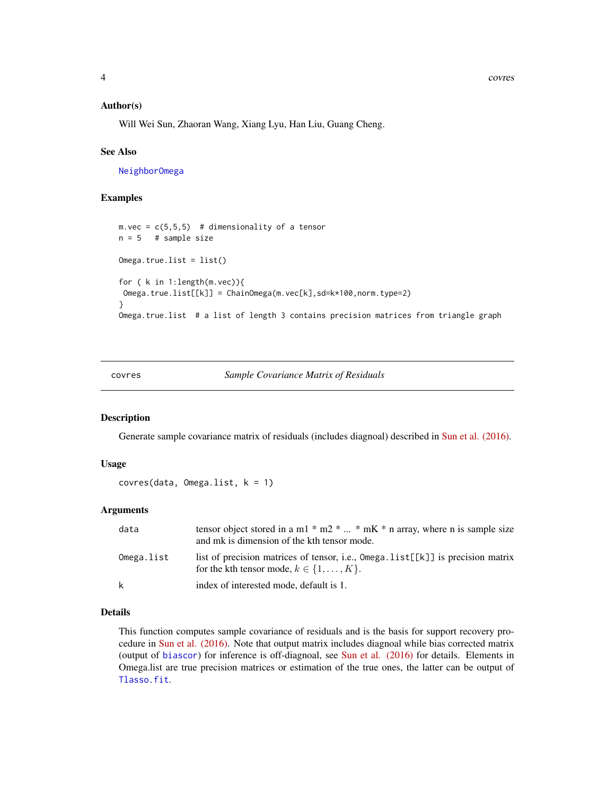<span id="page-3-0"></span>4 covres

#### Author(s)

Will Wei Sun, Zhaoran Wang, Xiang Lyu, Han Liu, Guang Cheng.

#### See Also

[NeighborOmega](#page-9-1)

# Examples

```
m. vec = c(5, 5, 5) # dimensionality of a tensor
n = 5 # sample size
Omega,true.list = list()
for ( k in 1:length(m.vec)){
Omega.true.list[[k]] = ChainOmega(m.vec[k],sd=k*100,norm.type=2)
}
Omega.true.list # a list of length 3 contains precision matrices from triangle graph
```
#### <span id="page-3-1"></span>covres *Sample Covariance Matrix of Residuals*

#### Description

Generate sample covariance matrix of residuals (includes diagnoal) described in [Sun et al. \(2016\).](http://arxiv.org/abs/1609.04522)

#### Usage

```
covres(data, Omega.list, k = 1)
```
#### Arguments

| data       | tensor object stored in a m1 $*$ m2 $*$ $*$ mK $*$ n array, where n is sample size<br>and mk is dimension of the kth tensor mode. |
|------------|-----------------------------------------------------------------------------------------------------------------------------------|
| Omega.list | list of precision matrices of tensor, i.e., Omega.list[[k]] is precision matrix<br>for the kth tensor mode, $k \in \{1, , K\}$ .  |
| k          | index of interested mode, default is 1.                                                                                           |

# Details

This function computes sample covariance of residuals and is the basis for support recovery procedure in [Sun et al. \(2016\).](http://arxiv.org/abs/1609.04522) Note that output matrix includes diagnoal while bias corrected matrix (output of [biascor](#page-1-1)) for inference is off-diagnoal, see [Sun et al. \(2016\)](http://arxiv.org/abs/1609.04522) for details. Elements in Omega.list are true precision matrices or estimation of the true ones, the latter can be output of [Tlasso.fit](#page-12-1).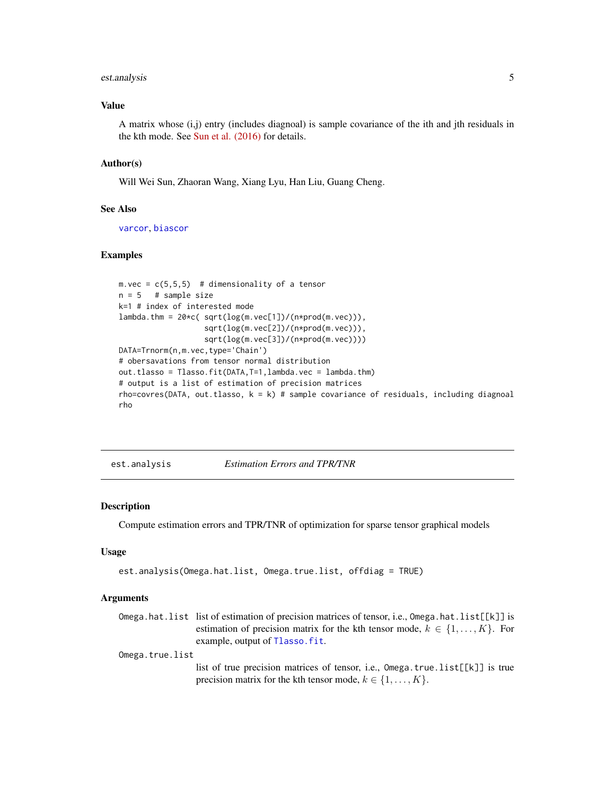# <span id="page-4-0"></span>est.analysis 5

#### Value

A matrix whose (i,j) entry (includes diagnoal) is sample covariance of the ith and jth residuals in the kth mode. See [Sun et al. \(2016\)](http://arxiv.org/abs/1609.04522) for details.

#### Author(s)

Will Wei Sun, Zhaoran Wang, Xiang Lyu, Han Liu, Guang Cheng.

#### See Also

[varcor](#page-14-1), [biascor](#page-1-1)

#### Examples

```
m. vec = c(5,5,5) # dimensionality of a tensor
n = 5 # sample size
k=1 # index of interested mode
lambda.htm = 20*c(sqrtlog(m.vec[1])/(n*prod(m.vec))),sqrt(log(m.vec[2])/(n*prod(m.vec))),
                   sqrt(log(m.vec[3])/(n*prod(m.vec))))
DATA=Trnorm(n,m.vec,type='Chain')
# obersavations from tensor normal distribution
out.tlasso = Tlasso.fit(DATA,T=1,lambda.vec = lambda.thm)
# output is a list of estimation of precision matrices
rho=covres(DATA, out.tlasso, k = k) # sample covariance of residuals, including diagnoal
rho
```
<span id="page-4-1"></span>est.analysis *Estimation Errors and TPR/TNR*

#### Description

Compute estimation errors and TPR/TNR of optimization for sparse tensor graphical models

#### Usage

```
est.analysis(Omega.hat.list, Omega.true.list, offdiag = TRUE)
```
#### Arguments

Omega.hat.list list of estimation of precision matrices of tensor, i.e., Omega.hat.list[[k]] is estimation of precision matrix for the kth tensor mode,  $k \in \{1, \ldots, K\}$ . For example, output of [Tlasso.fit](#page-12-1).

Omega.true.list

list of true precision matrices of tensor, i.e., Omega.true.list[[k]] is true precision matrix for the kth tensor mode,  $k \in \{1, \ldots, K\}$ .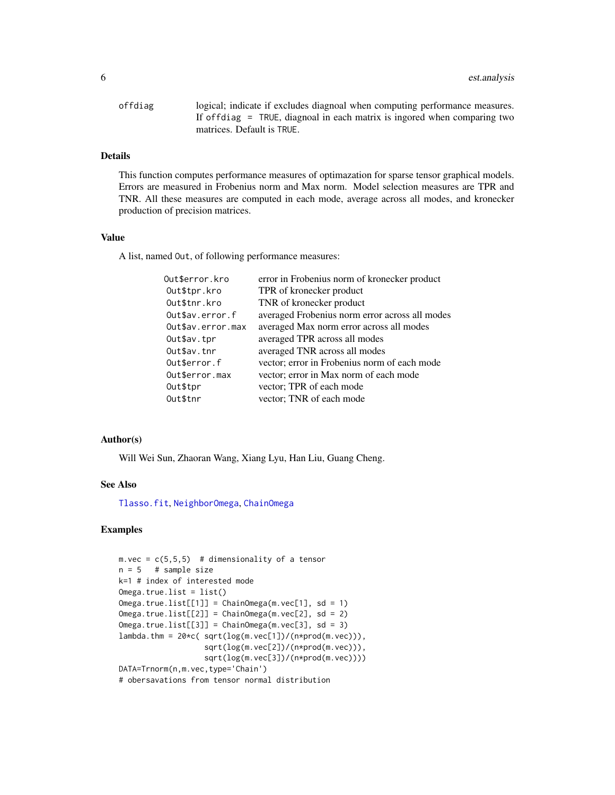<span id="page-5-0"></span>

| offdiag | logical; indicate if excludes diagnoal when computing performance measures. |
|---------|-----------------------------------------------------------------------------|
|         | If offdiag = TRUE, diagnoal in each matrix is ingored when comparing two    |
|         | matrices. Default is TRUE.                                                  |

# Details

This function computes performance measures of optimazation for sparse tensor graphical models. Errors are measured in Frobenius norm and Max norm. Model selection measures are TPR and TNR. All these measures are computed in each mode, average across all modes, and kronecker production of precision matrices.

# Value

A list, named Out, of following performance measures:

| Out\$error.kro    | error in Frobenius norm of kronecker product   |
|-------------------|------------------------------------------------|
| Out\$tpr.kro      | TPR of kronecker product                       |
| Out\$tnr.kro      | TNR of kronecker product                       |
| Out\$av.error.f   | averaged Frobenius norm error across all modes |
| Out\$av.error.max | averaged Max norm error across all modes       |
| Out\$av.tpr       | averaged TPR across all modes                  |
| Out\$av.tnr       | averaged TNR across all modes                  |
| Out\$error.f      | vector; error in Frobenius norm of each mode   |
| Out\$error.max    | vector; error in Max norm of each mode         |
| Out\$tpr          | vector; TPR of each mode                       |
| Out\$tnr          | vector; TNR of each mode                       |

#### Author(s)

Will Wei Sun, Zhaoran Wang, Xiang Lyu, Han Liu, Guang Cheng.

#### See Also

[Tlasso.fit](#page-12-1), [NeighborOmega](#page-9-1), [ChainOmega](#page-2-1)

# Examples

```
m. vec = c(5, 5, 5) # dimensionality of a tensor
n = 5 # sample size
k=1 # index of interested mode
Omega.true.list = list()
Omega.true.list[[1]] = ChainOmega(m.vec[1], sd = 1)
Omega.true.list[[2]] = ChainOmega(m.vec[2], sd = 2)
Omega,trueuleft[2] = ChainOmega(m.vec[3], sd = 3)lambda.thm = 20*c(sqrtlog(m.vec[1])/(n*prod(m.vec))),
                  sqrt(log(m.vec[2])/(n*prod(m.vec))),
                   sqrt(log(m.vec[3])/(n*prod(m.vec))))
DATA=Trnorm(n,m.vec,type='Chain')
# obersavations from tensor normal distribution
```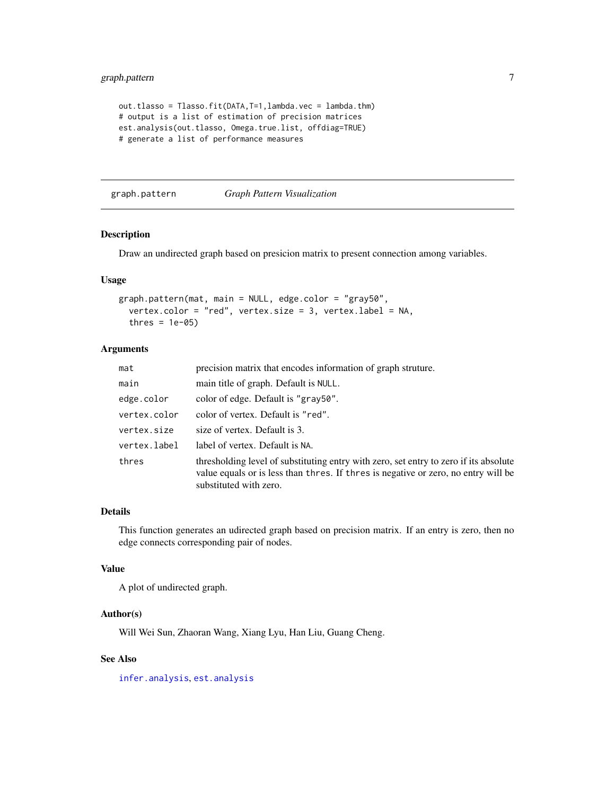```
out.tlasso = Tlasso.fit(DATA,T=1,lambda.vec = lambda.thm)
# output is a list of estimation of precision matrices
est.analysis(out.tlasso, Omega.true.list, offdiag=TRUE)
# generate a list of performance measures
```
graph.pattern *Graph Pattern Visualization*

#### Description

Draw an undirected graph based on presicion matrix to present connection among variables.

#### Usage

```
graph.pattern(mat, main = NULL, edge.color = "gray50",
 vertex.color = "red", vertex.size = 3, vertex.label = NA,
  thres = 1e-05)
```
#### Arguments

| mat          | precision matrix that encodes information of graph struture.                                                                                                                                          |
|--------------|-------------------------------------------------------------------------------------------------------------------------------------------------------------------------------------------------------|
| main         | main title of graph. Default is NULL.                                                                                                                                                                 |
| edge.color   | color of edge. Default is "gray50".                                                                                                                                                                   |
| vertex.color | color of vertex. Default is "red".                                                                                                                                                                    |
| vertex.size  | size of vertex. Default is 3.                                                                                                                                                                         |
| vertex.label | label of vertex. Default is NA.                                                                                                                                                                       |
| thres        | thresholding level of substituting entry with zero, set entry to zero if its absolute<br>value equals or is less than thres. If thres is negative or zero, no entry will be<br>substituted with zero. |

#### Details

This function generates an udirected graph based on precision matrix. If an entry is zero, then no edge connects corresponding pair of nodes.

# Value

A plot of undirected graph.

#### Author(s)

Will Wei Sun, Zhaoran Wang, Xiang Lyu, Han Liu, Guang Cheng.

# See Also

[infer.analysis](#page-7-1), [est.analysis](#page-4-1)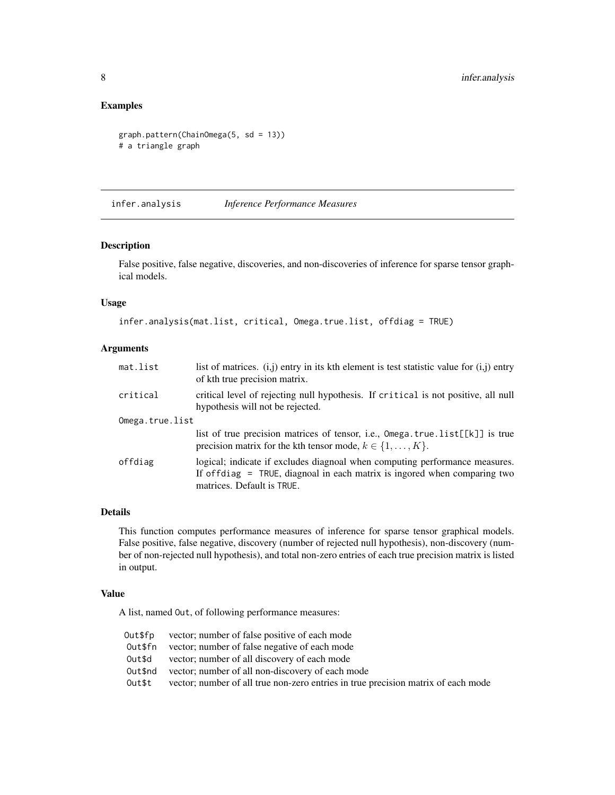# <span id="page-7-0"></span>Examples

```
graph.pattern(ChainOmega(5, sd = 13))
# a triangle graph
```
<span id="page-7-1"></span>infer.analysis *Inference Performance Measures*

### Description

False positive, false negative, discoveries, and non-discoveries of inference for sparse tensor graphical models.

# Usage

```
infer.analysis(mat.list, critical, Omega.true.list, offdiag = TRUE)
```
# Arguments

| list of matrices. $(i, j)$ entry in its kth element is test statistic value for $(i, j)$ entry<br>of kth true precision matrix.                                                         |
|-----------------------------------------------------------------------------------------------------------------------------------------------------------------------------------------|
| critical level of rejecting null hypothesis. If critical is not positive, all null<br>hypothesis will not be rejected.                                                                  |
| Omega.true.list                                                                                                                                                                         |
| list of true precision matrices of tensor, i.e., $Omega.tr[c[k]]$ is true<br>precision matrix for the kth tensor mode, $k \in \{1, , K\}$ .                                             |
| logical; indicate if excludes diagnoal when computing performance measures.<br>If offdiag $=$ TRUE, diagnoal in each matrix is ingored when comparing two<br>matrices. Default is TRUE. |
|                                                                                                                                                                                         |

# Details

This function computes performance measures of inference for sparse tensor graphical models. False positive, false negative, discovery (number of rejected null hypothesis), non-discovery (number of non-rejected null hypothesis), and total non-zero entries of each true precision matrix is listed in output.

#### Value

A list, named Out, of following performance measures:

| Out\$fp | vector; number of false positive of each mode                                     |
|---------|-----------------------------------------------------------------------------------|
| Out\$fn | vector; number of false negative of each mode                                     |
| Out\$d  | vector; number of all discovery of each mode                                      |
| Out\$nd | vector; number of all non-discovery of each mode                                  |
| Out\$t  | vector; number of all true non-zero entries in true precision matrix of each mode |
|         |                                                                                   |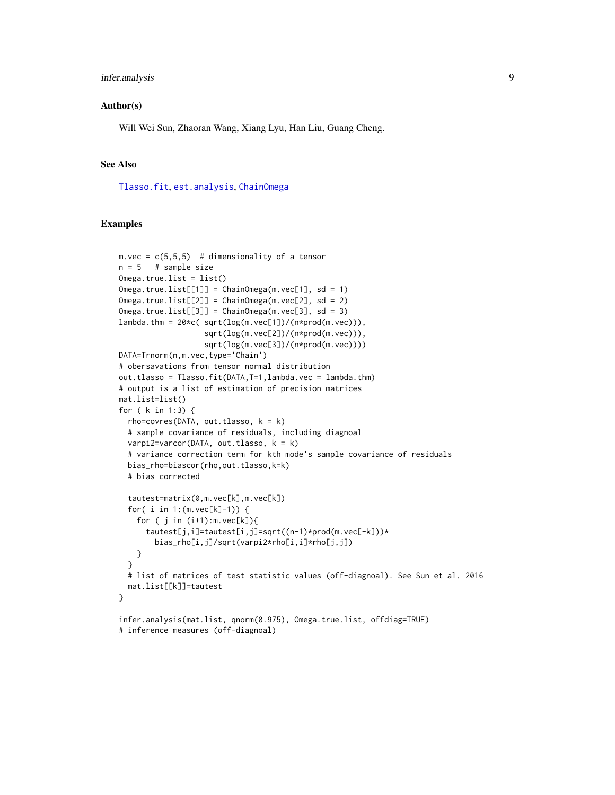# <span id="page-8-0"></span>infer.analysis 9

#### Author(s)

Will Wei Sun, Zhaoran Wang, Xiang Lyu, Han Liu, Guang Cheng.

# See Also

[Tlasso.fit](#page-12-1), [est.analysis](#page-4-1), [ChainOmega](#page-2-1)

# inference measures (off-diagnoal)

# Examples

```
m. vec = c(5,5,5) # dimensionality of a tensor
n = 5 # sample size
Omega,true.list = list()
Omega.true.list[[1]] = ChainOmega(m.vec[1], sd = 1)Omega.true.list[[2]] = ChainOmega(m.vec[2], sd = 2)
Omega,trueu[i][3]] = ChainOmega(mvec[3], sd = 3)lambda.htm = 20*c(sqrtlog(m.vec[1])/(n*prod(m.vec))),sqrt(log(m.vec[2])/(n*prod(m.vec))),
                   sqrt(log(m.vec[3])/(n*prod(m.vec))))
DATA=Trnorm(n,m.vec,type='Chain')
# obersavations from tensor normal distribution
out.tlasso = Tlasso.fit(DATA,T=1,lambda.vec = lambda.thm)
# output is a list of estimation of precision matrices
mat.list=list()
for ( k in 1:3) {
  rho=covres(DATA, out.tlasso, k = k)# sample covariance of residuals, including diagnoal
  varpi2=varcor(DATA, out.tlasso, k = k)
  # variance correction term for kth mode's sample covariance of residuals
  bias_rho=biascor(rho,out.tlasso,k=k)
  # bias corrected
  tautest=matrix(0,m.vec[k],m.vec[k])
  for( i in 1:(m.vec[k]-1)) {
    for ( j in (i+1):m.vec[k]){
      tautest[j,i]=tautest[i,j]=sqrt((n-1)*prod(m.vec[-k]))*
        bias_rho[i,j]/sqrt(varpi2*rho[i,i]*rho[j,j])
    }
  }
  # list of matrices of test statistic values (off-diagnoal). See Sun et al. 2016
  mat.list[[k]]=tautest
}
infer.analysis(mat.list, qnorm(0.975), Omega.true.list, offdiag=TRUE)
```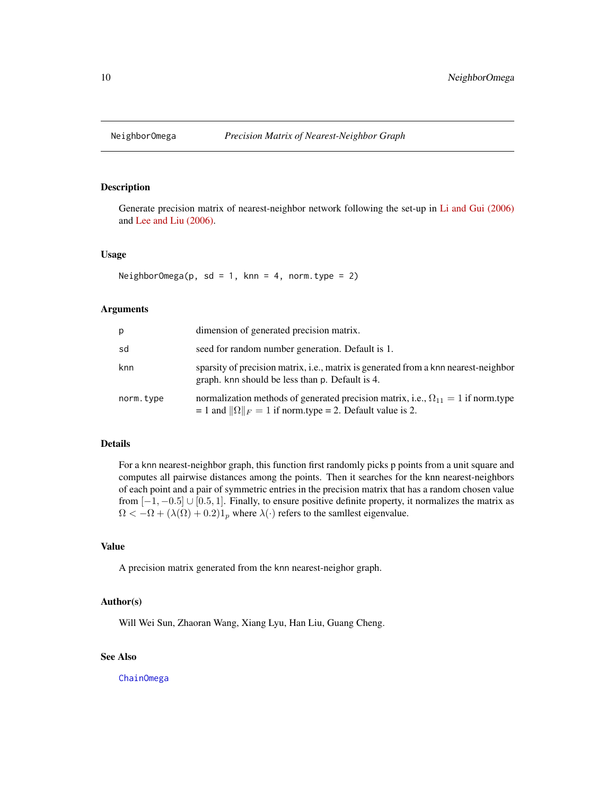<span id="page-9-1"></span><span id="page-9-0"></span>

# Description

Generate precision matrix of nearest-neighbor network following the set-up in [Li and Gui \(2006\)](http://paperity.org/p/38773767/gradient-directed-regularization-for-sparse-gaussian-concentration-graphs-with) and [Lee and Liu \(2006\).](http://www.jmlr.org/papers/volume16/lee15a/lee15a.pdf)

#### Usage

NeighborOmega(p, sd = 1, knn = 4, norm.type = 2)

# Arguments

| р         | dimension of generated precision matrix.                                                                                                                      |
|-----------|---------------------------------------------------------------------------------------------------------------------------------------------------------------|
| sd        | seed for random number generation. Default is 1.                                                                                                              |
| knn       | sparsity of precision matrix, <i>i.e.</i> , matrix is generated from a knn nearest-neighbor<br>graph, knn should be less than p. Default is 4.                |
| norm.type | normalization methods of generated precision matrix, i.e., $\Omega_{11} = 1$ if norm.type<br>= 1 and $\ \Omega\ _F = 1$ if norm.type = 2. Default value is 2. |

# Details

For a knn nearest-neighbor graph, this function first randomly picks p points from a unit square and computes all pairwise distances among the points. Then it searches for the knn nearest-neighbors of each point and a pair of symmetric entries in the precision matrix that has a random chosen value from  $[-1, -0.5]$  ∪  $[0.5, 1]$ . Finally, to ensure positive definite property, it normalizes the matrix as  $\Omega < -\Omega + (\lambda(\Omega) + 0.2)1_p$  where  $\lambda(\cdot)$  refers to the samllest eigenvalue.

# Value

A precision matrix generated from the knn nearest-neighor graph.

# Author(s)

Will Wei Sun, Zhaoran Wang, Xiang Lyu, Han Liu, Guang Cheng.

# See Also

[ChainOmega](#page-2-1)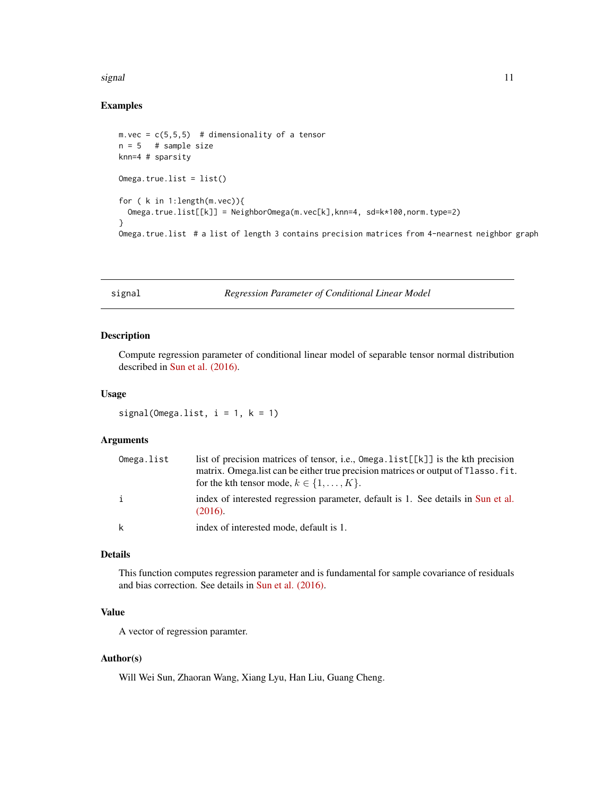#### <span id="page-10-0"></span>signal the contract of the contract of the contract of the contract of the contract of the contract of the contract of the contract of the contract of the contract of the contract of the contract of the contract of the con

# Examples

```
m. vec = c(5, 5, 5) # dimensionality of a tensor
n = 5 # sample size
knn=4 # sparsity
Omega,true.list = list()
for ( k in 1:length(m.vec)){
  Omega.true.list[[k]] = NeighborOmega(m.vec[k],knn=4, sd=k*100,norm.type=2)
}
Omega.true.list # a list of length 3 contains precision matrices from 4-nearnest neighbor graph
```
signal *Regression Parameter of Conditional Linear Model*

#### Description

Compute regression parameter of conditional linear model of separable tensor normal distribution described in [Sun et al. \(2016\).](http://arxiv.org/abs/1609.04522)

#### Usage

signal(Omega.list,  $i = 1$ ,  $k = 1$ )

#### Arguments

| Omega.list   | list of precision matrices of tensor, i.e., $Omegaurga.list[[k]] is the kth precision$<br>matrix. Omegalist can be either true precision matrices or output of Tlasso. fit.<br>for the kth tensor mode, $k \in \{1, , K\}$ . |
|--------------|------------------------------------------------------------------------------------------------------------------------------------------------------------------------------------------------------------------------------|
| $\mathbf{i}$ | index of interested regression parameter, default is 1. See details in Sun et al.<br>(2016).                                                                                                                                 |
| k            | index of interested mode, default is 1.                                                                                                                                                                                      |

# Details

This function computes regression parameter and is fundamental for sample covariance of residuals and bias correction. See details in [Sun et al. \(2016\).](http://arxiv.org/abs/1609.04522)

# Value

A vector of regression paramter.

# Author(s)

Will Wei Sun, Zhaoran Wang, Xiang Lyu, Han Liu, Guang Cheng.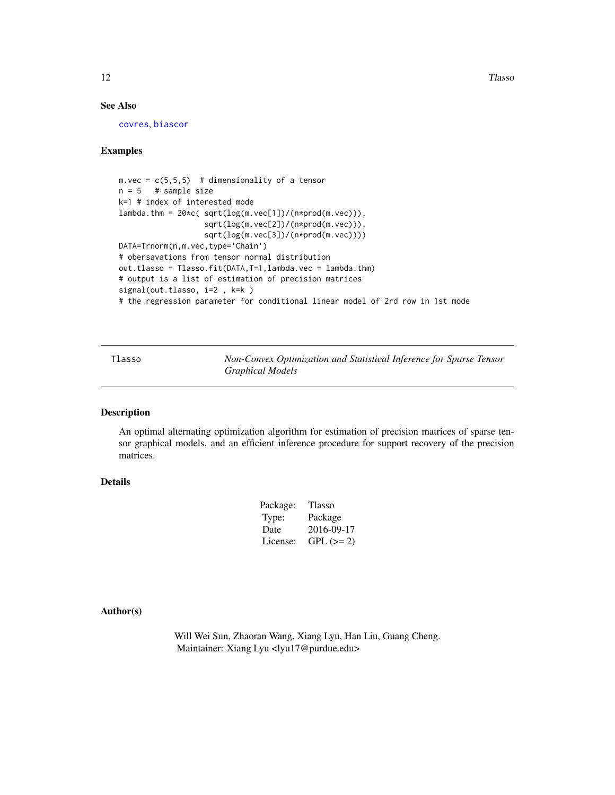<span id="page-11-0"></span>12 and 12 and 12 and 12 and 12 and 12 and 12 and 12 and 12 and 12 and 12 and 12 and 12 and 12 and 12 and 12 and 12 and 12 and 12 and 12 and 12 and 12 and 12 and 12 and 12 and 12 and 12 and 12 and 12 and 12 and 12 and 12 an

# See Also

[covres](#page-3-1), [biascor](#page-1-1)

# Examples

```
m. vec = c(5, 5, 5) # dimensionality of a tensor
n = 5 # sample size
k=1 # index of interested mode
lambda.thm = 20*c( sqrt(log(m.vec[1])/(n*prod(m.vec))),
                  sqrt(log(m.vec[2])/(n*prod(m.vec))),
                   sqrt(log(m.vec[3])/(n*prod(m.vec))))
DATA=Trnorm(n,m.vec,type='Chain')
# obersavations from tensor normal distribution
out.tlasso = Tlasso.fit(DATA,T=1,lambda.vec = lambda.thm)
# output is a list of estimation of precision matrices
signal(out.tlasso, i=2 , k=k )
# the regression parameter for conditional linear model of 2rd row in 1st mode
```
Tlasso *Non-Convex Optimization and Statistical Inference for Sparse Tensor Graphical Models*

# Description

An optimal alternating optimization algorithm for estimation of precision matrices of sparse tensor graphical models, and an efficient inference procedure for support recovery of the precision matrices.

# Details

| Package: | Tlasso     |
|----------|------------|
| Type:    | Package    |
| Date     | 2016-09-17 |
| License: | $GPL (=2)$ |

Author(s)

Will Wei Sun, Zhaoran Wang, Xiang Lyu, Han Liu, Guang Cheng. Maintainer: Xiang Lyu <lyu17@purdue.edu>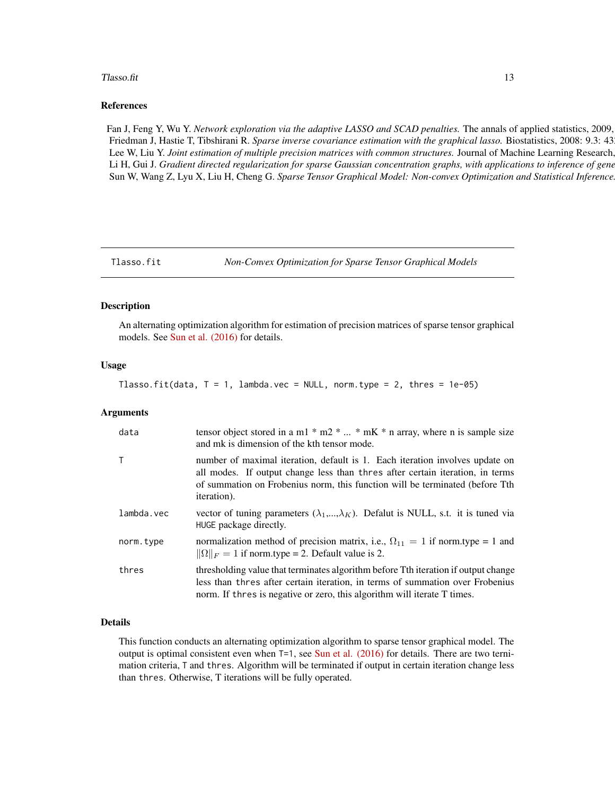#### <span id="page-12-0"></span>Tlasso.fit 13

#### References

Fan J, Feng Y, Wu Y. *Network exploration via the adaptive LASSO and SCAD penalties*. The annals of applied statistics, 2009, Friedman J, Hastie T, Tibshirani R. *Sparse inverse covariance estimation with the graphical lasso*. Biostatistics, 2008: 9.3: 43 Lee W, Liu Y. *Joint estimation of multiple precision matrices with common structures*. Journal of Machine Learning Research, Li H, Gui J. Gradient directed regularization for sparse Gaussian concentration graphs, with applications to inference of gene Sun W, Wang Z, Lyu X, Liu H, Cheng G. Sparse Tensor Graphical Model: Non-convex Optimization and Statistical Inference

<span id="page-12-1"></span>

#### Description

An alternating optimization algorithm for estimation of precision matrices of sparse tensor graphical models. See [Sun et al. \(2016\)](http://arxiv.org/abs/1609.04522) for details.

#### Usage

Tlasso.fit(data,  $T = 1$ , lambda.vec = NULL, norm.type = 2, thres = 1e-05)

#### Arguments

| data       | tensor object stored in a m1 $*$ m2 $*$ $*$ mK $*$ n array, where n is sample size<br>and mk is dimension of the kth tensor mode.                                                                                                                                    |
|------------|----------------------------------------------------------------------------------------------------------------------------------------------------------------------------------------------------------------------------------------------------------------------|
| $\top$     | number of maximal iteration, default is 1. Each iteration involves update on<br>all modes. If output change less than thres after certain iteration, in terms<br>of summation on Frobenius norm, this function will be terminated (before Tth<br><i>iteration</i> ). |
| lambda.vec | vector of tuning parameters $(\lambda_1,,\lambda_K)$ . Defalut is NULL, s.t. it is tuned via<br>HUGE package directly.                                                                                                                                               |
| norm.type  | normalization method of precision matrix, i.e., $\Omega_{11} = 1$ if norm.type = 1 and<br>$\ \Omega\ _F = 1$ if norm.type = 2. Default value is 2.                                                                                                                   |
| thres      | thresholding value that terminates algorithm before Tth iteration if output change<br>less than thres after certain iteration, in terms of summation over Frobenius<br>norm. If thres is negative or zero, this algorithm will iterate T times.                      |

#### Details

This function conducts an alternating optimization algorithm to sparse tensor graphical model. The output is optimal consistent even when  $T=1$ , see [Sun et al. \(2016\)](http://arxiv.org/abs/1609.04522) for details. There are two ternimation criteria, T and thres. Algorithm will be terminated if output in certain iteration change less than thres. Otherwise, T iterations will be fully operated.

Tlasso.fit *Non-Convex Optimization for Sparse Tensor Graphical Models*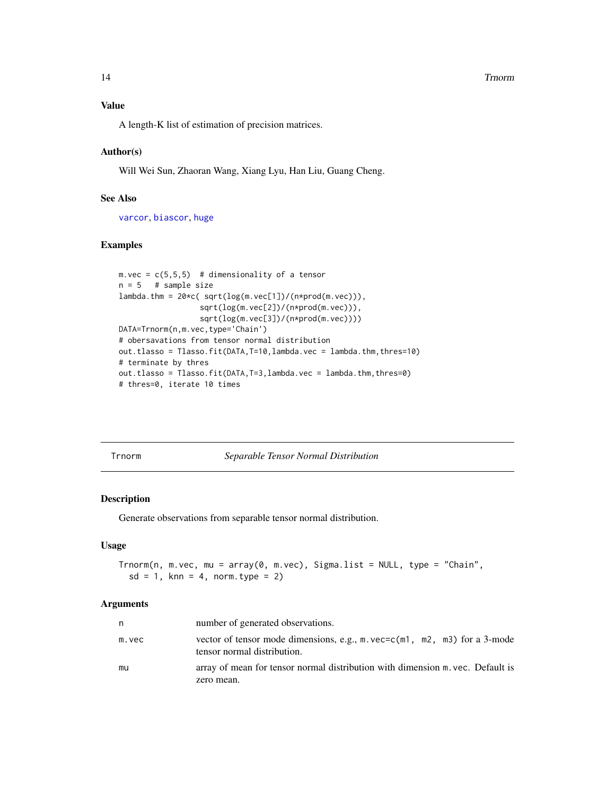#### <span id="page-13-0"></span>14 Trnorm

# Value

A length-K list of estimation of precision matrices.

# Author(s)

Will Wei Sun, Zhaoran Wang, Xiang Lyu, Han Liu, Guang Cheng.

# See Also

[varcor](#page-14-1), [biascor](#page-1-1), [huge](#page-0-0)

# Examples

```
m. vec = c(5,5,5) # dimensionality of a tensor
n = 5 # sample size
lambda.thm = 20*c( sqrt(log(m.vec[1])/(n*prod(m.vec))),
                 sqrt(log(m.vec[2])/(n*prod(m.vec))),
                 sqrt(log(m.vec[3])/(n*prod(m.vec))))
DATA=Trnorm(n,m.vec,type='Chain')
# obersavations from tensor normal distribution
out.tlasso = Tlasso.fit(DATA,T=10,lambda.vec = lambda.thm,thres=10)
# terminate by thres
out.tlasso = Tlasso.fit(DATA,T=3,lambda.vec = lambda.thm,thres=0)
# thres=0, iterate 10 times
```
Trnorm *Separable Tensor Normal Distribution*

#### Description

Generate observations from separable tensor normal distribution.

#### Usage

```
Trnorm(n, m.vec, mu = array(0, m.vec), Sigma. list = NULL, type = "Chain",sd = 1, knn = 4, norm.type = 2)
```
#### Arguments

| n     | number of generated observations.                                                                                     |
|-------|-----------------------------------------------------------------------------------------------------------------------|
| m.vec | vector of tensor mode dimensions, e.g., $m$ . vec=c( $m1$ , $m2$ , $m3$ ) for a 3-mode<br>tensor normal distribution. |
| mu    | array of mean for tensor normal distribution with dimension m. vec. Default is<br>zero mean.                          |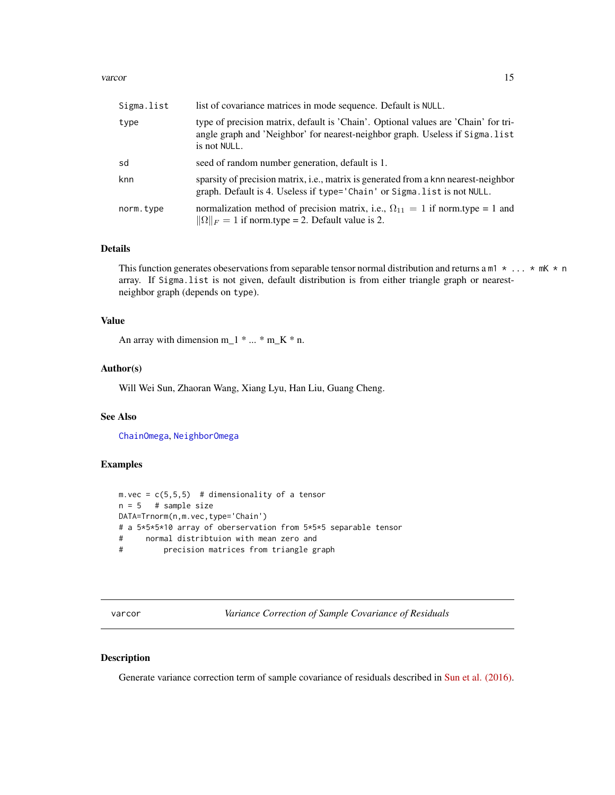#### <span id="page-14-0"></span>varcor and the contract of the contract of the contract of the contract of the contract of the contract of the contract of the contract of the contract of the contract of the contract of the contract of the contract of the

| Sigma.list | list of covariance matrices in mode sequence. Default is NULL.                                                                                                                     |
|------------|------------------------------------------------------------------------------------------------------------------------------------------------------------------------------------|
| type       | type of precision matrix, default is 'Chain'. Optional values are 'Chain' for tri-<br>angle graph and 'Neighbor' for nearest-neighbor graph. Useless if Sigma.list<br>is not NULL. |
| sd         | seed of random number generation, default is 1.                                                                                                                                    |
| knn        | sparsity of precision matrix, i.e., matrix is generated from a knn nearest-neighbor<br>graph. Default is 4. Useless if type='Chain' or Sigma. list is not NULL.                    |
| norm.type  | normalization method of precision matrix, i.e., $\Omega_{11} = 1$ if norm.type = 1 and<br>$\ \Omega\ _F = 1$ if norm.type = 2. Default value is 2.                                 |

# Details

This function generates obeservations from separable tensor normal distribution and returns a m1  $* \dots * mK * n$ array. If Sigma.list is not given, default distribution is from either triangle graph or nearestneighbor graph (depends on type).

# Value

An array with dimension m\_1  $*... * m_K * n$ .

# Author(s)

Will Wei Sun, Zhaoran Wang, Xiang Lyu, Han Liu, Guang Cheng.

# See Also

[ChainOmega](#page-2-1), [NeighborOmega](#page-9-1)

# Examples

```
m. vec = c(5, 5, 5) # dimensionality of a tensor
n = 5 # sample size
DATA=Trnorm(n,m.vec,type='Chain')
# a 5*5*5*10 array of oberservation from 5*5*5 separable tensor
# normal distribtuion with mean zero and
# precision matrices from triangle graph
```
<span id="page-14-1"></span>varcor *Variance Correction of Sample Covariance of Residuals*

# Description

Generate variance correction term of sample covariance of residuals described in [Sun et al. \(2016\).](http://arxiv.org/abs/1609.04522)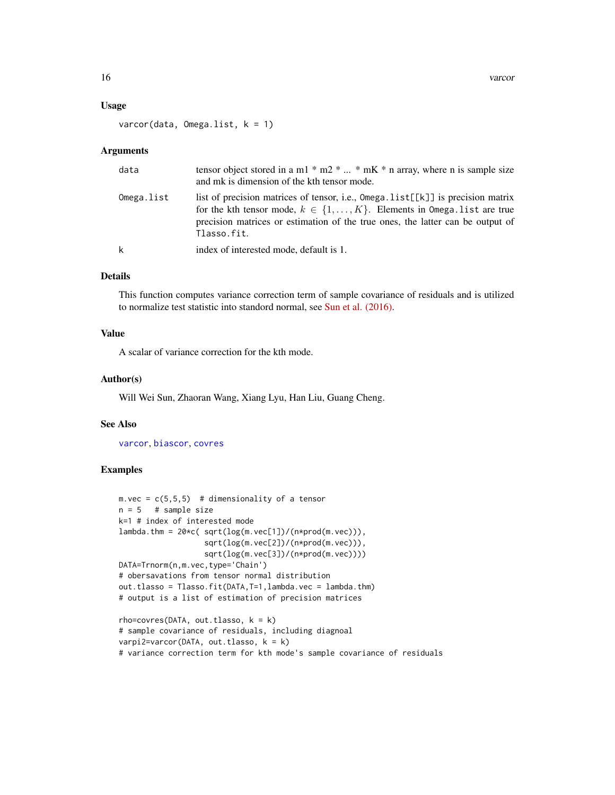#### <span id="page-15-0"></span>Usage

varcor(data, Omega.list, k = 1)

#### Arguments

| data       | tensor object stored in a m1 $*$ m2 $*$ $*$ mK $*$ n array, where n is sample size<br>and mk is dimension of the kth tensor mode.                                                                                                                                         |
|------------|---------------------------------------------------------------------------------------------------------------------------------------------------------------------------------------------------------------------------------------------------------------------------|
| Omega.list | list of precision matrices of tensor, i.e., $Omega$ . list $[E X]$ is precision matrix<br>for the kth tensor mode, $k \in \{1, , K\}$ . Elements in Omega. list are true<br>precision matrices or estimation of the true ones, the latter can be output of<br>Tlasso.fit. |
| k          | index of interested mode, default is 1.                                                                                                                                                                                                                                   |

# Details

This function computes variance correction term of sample covariance of residuals and is utilized to normalize test statistic into standord normal, see [Sun et al. \(2016\).](http://arxiv.org/abs/1609.04522)

#### Value

A scalar of variance correction for the kth mode.

# Author(s)

Will Wei Sun, Zhaoran Wang, Xiang Lyu, Han Liu, Guang Cheng.

# See Also

[varcor](#page-14-1), [biascor](#page-1-1), [covres](#page-3-1)

# Examples

```
m. vec = c(5,5,5) # dimensionality of a tensor
n = 5 # sample size
k=1 # index of interested mode
lambda.thm = 20*c(sqrtlog(m.vec[1])/(n*prod(m.vec))),
                  sqrt(log(m.vec[2])/(n*prod(m.vec))),
                   sqrt(log(m.vec[3])/(n*prod(m.vec))))
DATA=Trnorm(n,m.vec,type='Chain')
# obersavations from tensor normal distribution
out.tlasso = Tlasso.fit(DATA,T=1,lambda.vec = lambda.thm)
# output is a list of estimation of precision matrices
rho=covres(DATA, out.tlasso, k = k)# sample covariance of residuals, including diagnoal
varpi2=varcor(DATA, out.tlasso, k = k)
```
# variance correction term for kth mode's sample covariance of residuals